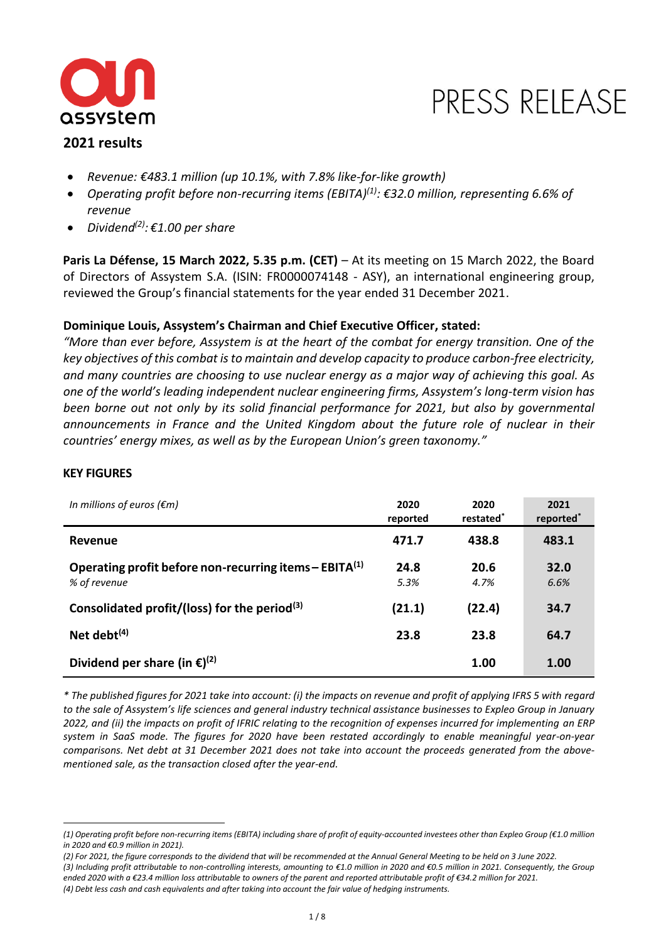

# PRESS RELEASE

# **2021 results**

- *Revenue: €483.1 million (up 10.1%, with 7.8% like-for-like growth)*
- *Operating profit before non-recurring items (EBITA)(1) : €32.0 million, representing 6.6% of revenue*
- *Dividend(2) : €1.00 per share*

**Paris La Défense, 15 March 2022, 5.35 p.m. (CET)** – At its meeting on 15 March 2022, the Board of Directors of Assystem S.A. (ISIN: FR0000074148 - ASY), an international engineering group, reviewed the Group's financial statements for the year ended 31 December 2021.

# **Dominique Louis, Assystem's Chairman and Chief Executive Officer, stated:**

*"More than ever before, Assystem is at the heart of the combat for energy transition. One of the key objectives of this combat is to maintain and develop capacity to produce carbon-free electricity, and many countries are choosing to use nuclear energy as a major way of achieving this goal. As one of the world's leading independent nuclear engineering firms, Assystem's long-term vision has been borne out not only by its solid financial performance for 2021, but also by governmental announcements in France and the United Kingdom about the future role of nuclear in their countries' energy mixes, as well as by the European Union's green taxonomy."*

# **KEY FIGURES**

| In millions of euros ( $\epsilon$ m)                                     | 2020<br>reported | 2020<br>restated <sup>*</sup> | 2021<br>reported <sup>*</sup> |
|--------------------------------------------------------------------------|------------------|-------------------------------|-------------------------------|
| Revenue                                                                  | 471.7            | 438.8                         | 483.1                         |
| Operating profit before non-recurring items – $EBITA(1)$<br>% of revenue | 24.8<br>5.3%     | 20.6<br>4.7%                  | 32.0<br>6.6%                  |
| Consolidated profit/(loss) for the period $(3)$                          | (21.1)           | (22.4)                        | 34.7                          |
| Net debt $(4)$                                                           | 23.8             | 23.8                          | 64.7                          |
| Dividend per share (in $\epsilon$ ) <sup>(2)</sup>                       |                  | 1.00                          | 1.00                          |

*\* The published figures for 2021 take into account: (i) the impacts on revenue and profit of applying IFRS 5 with regard to the sale of Assystem's life sciences and general industry technical assistance businesses to Expleo Group in January 2022, and (ii) the impacts on profit of IFRIC relating to the recognition of expenses incurred for implementing an ERP system in SaaS mode. The figures for 2020 have been restated accordingly to enable meaningful year-on-year comparisons. Net debt at 31 December 2021 does not take into account the proceeds generated from the abovementioned sale, as the transaction closed after the year-end.*

*<sup>(1)</sup> Operating profit before non-recurring items (EBITA) including share of profit of equity-accounted investees other than Expleo Group (€1.0 million in 2020 and €0.9 million in 2021).* 

*<sup>(2)</sup> For 2021, the figure corresponds to the dividend that will be recommended at the Annual General Meeting to be held on 3 June 2022.*

*<sup>(3)</sup> Including profit attributable to non-controlling interests, amounting to €1.0 million in 2020 and €0.5 million in 2021. Consequently, the Group ended 2020 with a €23.4 million loss attributable to owners of the parent and reported attributable profit of €34.2 million for 2021. (4) Debt less cash and cash equivalents and after taking into account the fair value of hedging instruments.*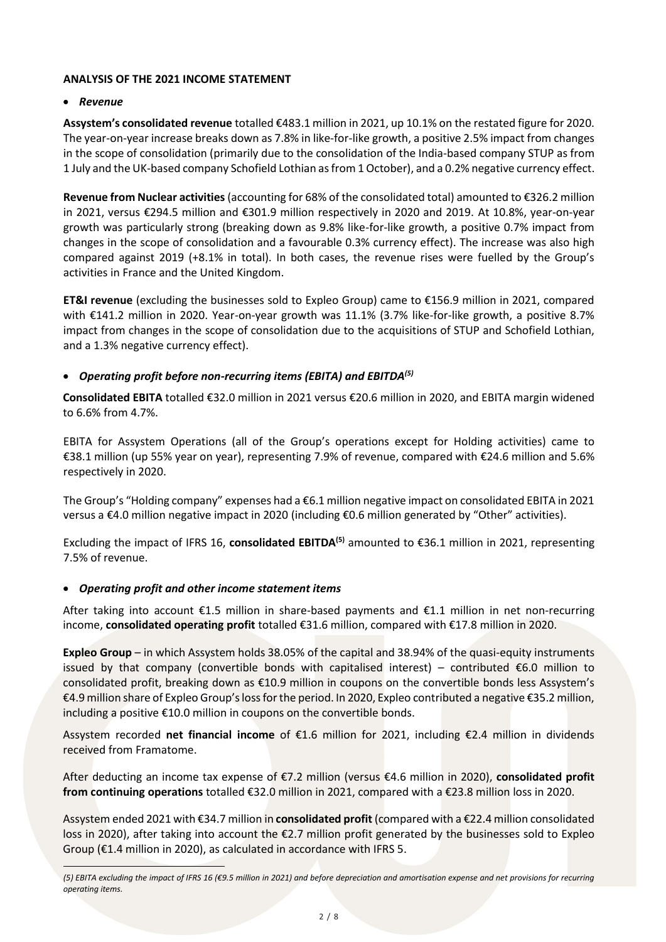# **ANALYSIS OF THE 2021 INCOME STATEMENT**

# • *Revenue*

**Assystem's consolidated revenue** totalled €483.1 million in 2021, up 10.1% on the restated figure for 2020. The year-on-year increase breaks down as 7.8% in like-for-like growth, a positive 2.5% impact from changes in the scope of consolidation (primarily due to the consolidation of the India-based company STUP as from 1 July and the UK-based company Schofield Lothian as from 1 October), and a 0.2% negative currency effect.

**Revenue from Nuclear activities**(accounting for 68% of the consolidated total) amounted to €326.2 million in 2021, versus €294.5 million and €301.9 million respectively in 2020 and 2019. At 10.8%, year-on-year growth was particularly strong (breaking down as 9.8% like-for-like growth, a positive 0.7% impact from changes in the scope of consolidation and a favourable 0.3% currency effect). The increase was also high compared against 2019 (+8.1% in total). In both cases, the revenue rises were fuelled by the Group's activities in France and the United Kingdom.

**ET&I revenue** (excluding the businesses sold to Expleo Group) came to €156.9 million in 2021, compared with €141.2 million in 2020. Year-on-year growth was 11.1% (3.7% like-for-like growth, a positive 8.7% impact from changes in the scope of consolidation due to the acquisitions of STUP and Schofield Lothian, and a 1.3% negative currency effect).

# • *Operating profit before non-recurring items (EBITA) and EBITDA (5)*

**Consolidated EBITA** totalled €32.0 million in 2021 versus €20.6 million in 2020, and EBITA margin widened to 6.6% from 4.7%.

EBITA for Assystem Operations (all of the Group's operations except for Holding activities) came to €38.1 million (up 55% year on year), representing 7.9% of revenue, compared with €24.6 million and 5.6% respectively in 2020.

The Group's "Holding company" expenses had a €6.1 million negative impact on consolidated EBITA in 2021 versus a €4.0 million negative impact in 2020 (including €0.6 million generated by "Other" activities).

Excluding the impact of IFRS 16, **consolidated EBITDA(5)** amounted to €36.1 million in 2021, representing 7.5% of revenue.

# • *Operating profit and other income statement items*

After taking into account €1.5 million in share-based payments and €1.1 million in net non-recurring income, **consolidated operating profit** totalled €31.6 million, compared with €17.8 million in 2020.

**Expleo Group** – in which Assystem holds 38.05% of the capital and 38.94% of the quasi-equity instruments issued by that company (convertible bonds with capitalised interest) – contributed  $\epsilon$ 6.0 million to consolidated profit, breaking down as €10.9 million in coupons on the convertible bonds less Assystem's €4.9 million share of Expleo Group's loss for the period. In 2020, Expleo contributed a negative €35.2 million, including a positive €10.0 million in coupons on the convertible bonds.

Assystem recorded **net financial income** of €1.6 million for 2021, including €2.4 million in dividends received from Framatome.

After deducting an income tax expense of €7.2 million (versus €4.6 million in 2020), **consolidated profit from continuing operations** totalled €32.0 million in 2021, compared with a €23.8 million loss in 2020.

Assystem ended 2021 with €34.7 million in **consolidated profit** (compared with a €22.4 million consolidated loss in 2020), after taking into account the €2.7 million profit generated by the businesses sold to Expleo Group (€1.4 million in 2020), as calculated in accordance with IFRS 5.

*<sup>(5)</sup> EBITA excluding the impact of IFRS 16 (€9.5 million in 2021) and before depreciation and amortisation expense and net provisions for recurring operating items.*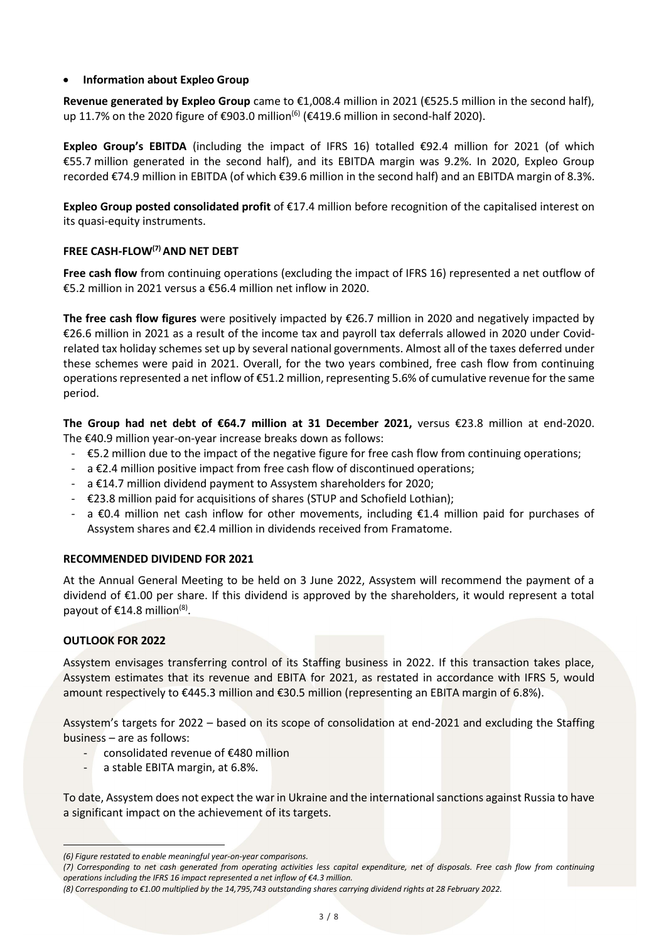## • **Information about Expleo Group**

**Revenue generated by Expleo Group** came to €1,008.4 million in 2021 (€525.5 million in the second half), up 11.7% on the 2020 figure of €903.0 million<sup>(6)</sup> (€419.6 million in second-half 2020).

**Expleo Group's EBITDA** (including the impact of IFRS 16) totalled €92.4 million for 2021 (of which €55.7 million generated in the second half), and its EBITDA margin was 9.2%. In 2020, Expleo Group recorded €74.9 million in EBITDA (of which €39.6 million in the second half) and an EBITDA margin of 8.3%.

**Expleo Group posted consolidated profit** of €17.4 million before recognition of the capitalised interest on its quasi-equity instruments.

# **FREE CASH-FLOW(7) AND NET DEBT**

**Free cash flow** from continuing operations (excluding the impact of IFRS 16) represented a net outflow of €5.2 million in 2021 versus a €56.4 million net inflow in 2020.

**The free cash flow figures** were positively impacted by €26.7 million in 2020 and negatively impacted by €26.6 million in 2021 as a result of the income tax and payroll tax deferrals allowed in 2020 under Covidrelated tax holiday schemes set up by several national governments. Almost all of the taxes deferred under these schemes were paid in 2021. Overall, for the two years combined, free cash flow from continuing operations represented a net inflow of €51.2 million, representing 5.6% of cumulative revenue for the same period.

**The Group had net debt of €64.7 million at 31 December 2021,** versus €23.8 million at end-2020. The €40.9 million year-on-year increase breaks down as follows:

- €5.2 million due to the impact of the negative figure for free cash flow from continuing operations;
- $-$  a  $\epsilon$ 2.4 million positive impact from free cash flow of discontinued operations;
- a €14.7 million dividend payment to Assystem shareholders for 2020;
- €23.8 million paid for acquisitions of shares (STUP and Schofield Lothian);
- a  $\epsilon$ 0.4 million net cash inflow for other movements, including  $\epsilon$ 1.4 million paid for purchases of Assystem shares and €2.4 million in dividends received from Framatome.

## **RECOMMENDED DIVIDEND FOR 2021**

At the Annual General Meeting to be held on 3 June 2022, Assystem will recommend the payment of a dividend of €1.00 per share. If this dividend is approved by the shareholders, it would represent a total payout of  $E$ 14.8 million<sup>(8)</sup>.

## **OUTLOOK FOR 2022**

Assystem envisages transferring control of its Staffing business in 2022. If this transaction takes place, Assystem estimates that its revenue and EBITA for 2021, as restated in accordance with IFRS 5, would amount respectively to €445.3 million and €30.5 million (representing an EBITA margin of 6.8%).

Assystem's targets for 2022 – based on its scope of consolidation at end-2021 and excluding the Staffing business – are as follows:

- consolidated revenue of €480 million
- a stable EBITA margin, at 6.8%.

To date, Assystem does not expect the war in Ukraine and the international sanctions against Russia to have a significant impact on the achievement of its targets.

*<sup>(6)</sup> Figure restated to enable meaningful year-on-year comparisons.*

*<sup>(7)</sup> Corresponding to net cash generated from operating activities less capital expenditure, net of disposals. Free cash flow from continuing operations including the IFRS 16 impact represented a net inflow of €4.3 million.* 

*<sup>(8)</sup> Corresponding to €1.00 multiplied by the 14,795,743 outstanding shares carrying dividend rights at 28 February 2022.*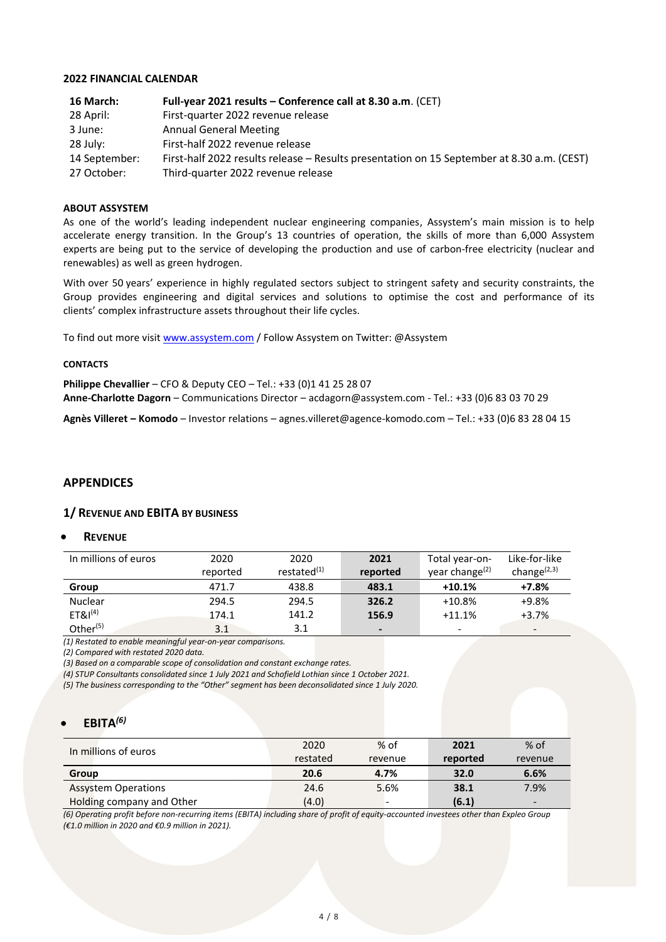#### **2022 FINANCIAL CALENDAR**

| 16 March:     | Full-year 2021 results - Conference call at 8.30 a.m. (CET)                                |
|---------------|--------------------------------------------------------------------------------------------|
| 28 April:     | First-quarter 2022 revenue release                                                         |
| 3 June:       | <b>Annual General Meeting</b>                                                              |
| 28 July:      | First-half 2022 revenue release                                                            |
| 14 September: | First-half 2022 results release – Results presentation on 15 September at 8.30 a.m. (CEST) |
| 27 October:   | Third-quarter 2022 revenue release                                                         |

#### **ABOUT ASSYSTEM**

As one of the world's leading independent nuclear engineering companies, Assystem's main mission is to help accelerate energy transition. In the Group's 13 countries of operation, the skills of more than 6,000 Assystem experts are being put to the service of developing the production and use of carbon-free electricity (nuclear and renewables) as well as green hydrogen.

With over 50 years' experience in highly regulated sectors subject to stringent safety and security constraints, the Group provides engineering and digital services and solutions to optimise the cost and performance of its clients' complex infrastructure assets throughout their life cycles.

To find out more visit [www.assystem.com](http://www.assystem.com/) / Follow Assystem on Twitter: @Assystem

#### **CONTACTS**

**Philippe Chevallier** – CFO & Deputy CEO – Tel.: +33 (0)1 41 25 28 07 **Anne-Charlotte Dagorn** – Communications Director – acdagorn@assystem.com - Tel.: +33 (0)6 83 03 70 29

**Agnès Villeret – Komodo** – Investor relations – agnes.villeret@agence-komodo.com – Tel.: +33 (0)6 83 28 04 15

## **APPENDICES**

#### **1/ REVENUE AND EBITA BY BUSINESS**

#### • **REVENUE**

| In millions of euros | 2020     | 2020           | 2021                     | Total year-on-             | Like-for-like            |
|----------------------|----------|----------------|--------------------------|----------------------------|--------------------------|
|                      | reported | restated $(1)$ | reported                 | year change <sup>(2)</sup> | change $(2,3)$           |
| Group                | 471.7    | 438.8          | 483.1                    | $+10.1%$                   | $+7.8%$                  |
| <b>Nuclear</b>       | 294.5    | 294.5          | 326.2                    | $+10.8%$                   | $+9.8%$                  |
| ET&I <sup>(4)</sup>  | 174.1    | 141.2          | 156.9                    | $+11.1%$                   | $+3.7%$                  |
| Other $(5)$          | 3.1      | 3.1            | $\overline{\phantom{0}}$ | $\overline{\phantom{a}}$   | $\overline{\phantom{0}}$ |

*(1) Restated to enable meaningful year-on-year comparisons.* 

*(2) Compared with restated 2020 data.* 

*(3) Based on a comparable scope of consolidation and constant exchange rates.* 

*(4) STUP Consultants consolidated since 1 July 2021 and Schofield Lothian since 1 October 2021.* 

*(5) The business corresponding to the "Other" segment has been deconsolidated since 1 July 2020.*

## • **EBITA***(6)*

| In millions of euros       | 2020     | $%$ of  | 2021     | $%$ of                   |
|----------------------------|----------|---------|----------|--------------------------|
|                            | restated | revenue | reported | revenue                  |
| Group                      | 20.6     | 4.7%    | 32.0     | 6.6%                     |
| <b>Assystem Operations</b> | 24.6     | 5.6%    | 38.1     | 7.9%                     |
| Holding company and Other  | (4.0)    |         | (6.1)    | $\overline{\phantom{a}}$ |

*(6) Operating profit before non-recurring items (EBITA) including share of profit of equity-accounted investees other than Expleo Group (€1.0 million in 2020 and €0.9 million in 2021).*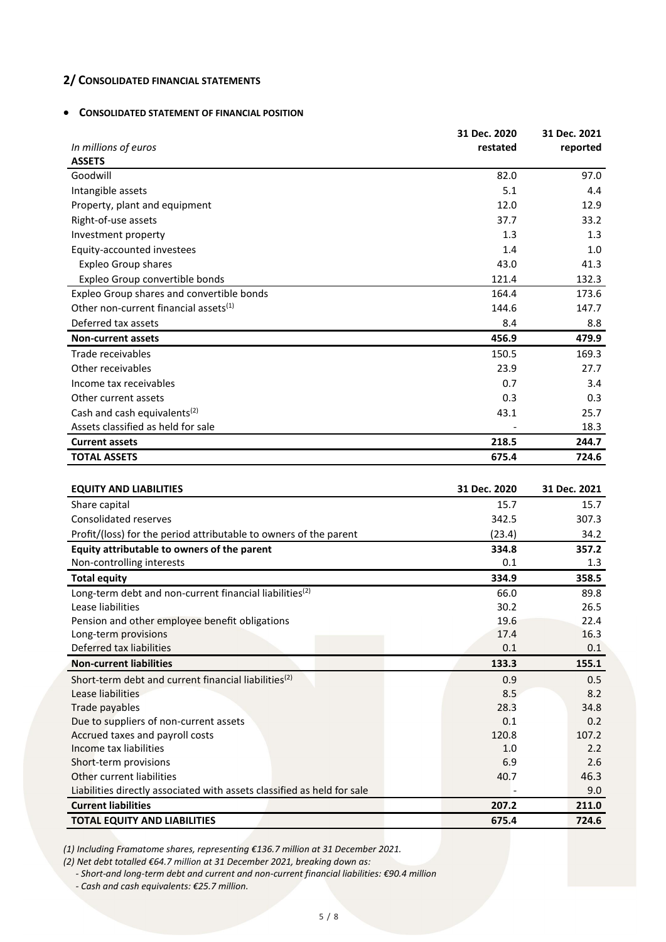# **2/ CONSOLIDATED FINANCIAL STATEMENTS**

#### • **CONSOLIDATED STATEMENT OF FINANCIAL POSITION**

|                                                   | 31 Dec. 2020 | 31 Dec. 2021 |
|---------------------------------------------------|--------------|--------------|
| In millions of euros                              | restated     | reported     |
| <b>ASSETS</b>                                     |              |              |
| Goodwill                                          | 82.0         | 97.0         |
| Intangible assets                                 | 5.1          | 4.4          |
| Property, plant and equipment                     | 12.0         | 12.9         |
| Right-of-use assets                               | 37.7         | 33.2         |
| Investment property                               | 1.3          | 1.3          |
| Equity-accounted investees                        | 1.4          | 1.0          |
| <b>Expleo Group shares</b>                        | 43.0         | 41.3         |
| Expleo Group convertible bonds                    | 121.4        | 132.3        |
| Expleo Group shares and convertible bonds         | 164.4        | 173.6        |
| Other non-current financial assets <sup>(1)</sup> | 144.6        | 147.7        |
| Deferred tax assets                               | 8.4          | 8.8          |
| <b>Non-current assets</b>                         | 456.9        | 479.9        |
| Trade receivables                                 | 150.5        | 169.3        |
| Other receivables                                 | 23.9         | 27.7         |
| Income tax receivables                            | 0.7          | 3.4          |
| Other current assets                              | 0.3          | 0.3          |
| Cash and cash equivalents <sup>(2)</sup>          | 43.1         | 25.7         |
| Assets classified as held for sale                |              | 18.3         |
| <b>Current assets</b>                             | 218.5        | 244.7        |
| <b>TOTAL ASSETS</b>                               | 675.4        | 724.6        |
|                                                   |              |              |
| EOUITY AND LIARILITIES                            | 21 Dec 2020  | 21 Dec 2021  |

| <b>EQUITY AND LIABILITIES</b>                                           | 31 Dec. 2020 | 31 Dec. 2021 |
|-------------------------------------------------------------------------|--------------|--------------|
| Share capital                                                           | 15.7         | 15.7         |
| <b>Consolidated reserves</b>                                            | 342.5        | 307.3        |
| Profit/(loss) for the period attributable to owners of the parent       | (23.4)       | 34.2         |
| Equity attributable to owners of the parent                             | 334.8        | 357.2        |
| Non-controlling interests                                               | 0.1          | 1.3          |
| <b>Total equity</b>                                                     | 334.9        | 358.5        |
| Long-term debt and non-current financial liabilities <sup>(2)</sup>     | 66.0         | 89.8         |
| Lease liabilities                                                       | 30.2         | 26.5         |
| Pension and other employee benefit obligations                          | 19.6         | 22.4         |
| Long-term provisions                                                    | 17.4         | 16.3         |
| Deferred tax liabilities                                                | 0.1          | 0.1          |
| <b>Non-current liabilities</b>                                          | 133.3        | 155.1        |
| Short-term debt and current financial liabilities <sup>(2)</sup>        | 0.9          | 0.5          |
| Lease liabilities                                                       | 8.5          | 8.2          |
| Trade payables                                                          | 28.3         | 34.8         |
| Due to suppliers of non-current assets                                  | 0.1          | 0.2          |
| Accrued taxes and payroll costs                                         | 120.8        | 107.2        |
| Income tax liabilities                                                  | 1.0          | 2.2          |
| Short-term provisions                                                   | 6.9          | 2.6          |
| Other current liabilities                                               | 40.7         | 46.3         |
| Liabilities directly associated with assets classified as held for sale |              | 9.0          |
| <b>Current liabilities</b>                                              | 207.2        | 211.0        |
| <b>TOTAL EQUITY AND LIABILITIES</b>                                     | 675.4        | 724.6        |

*(1) Including Framatome shares, representing €136.7 million at 31 December 2021.*

*(2) Net debt totalled €64.7 million at 31 December 2021, breaking down as:*

*- Short-and long-term debt and current and non-current financial liabilities: €90.4 million*

*- Cash and cash equivalents: €25.7 million.*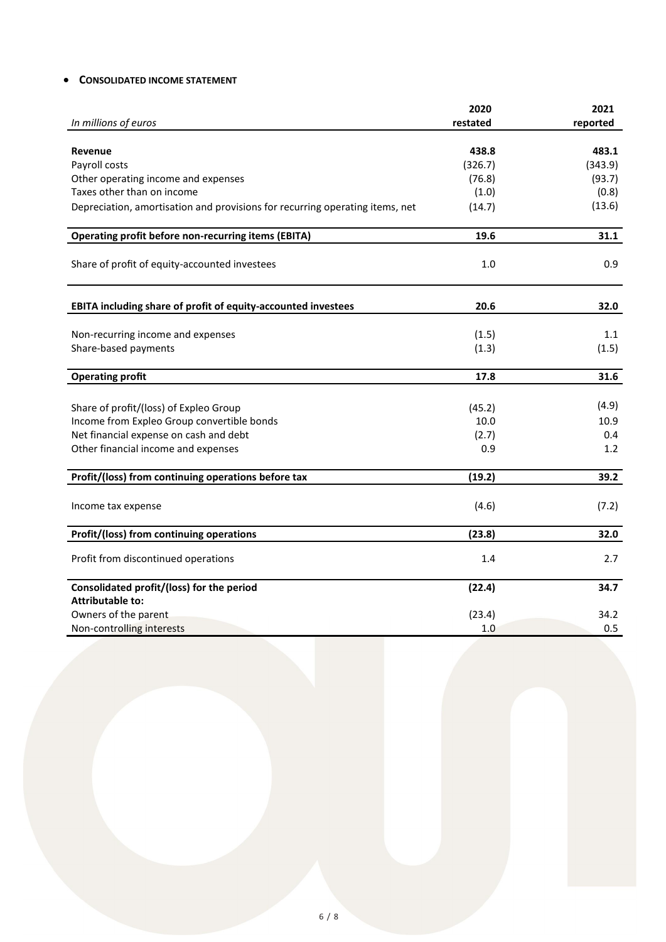# • **CONSOLIDATED INCOME STATEMENT**

|                                                                              | 2020     | 2021     |
|------------------------------------------------------------------------------|----------|----------|
| In millions of euros                                                         | restated | reported |
|                                                                              |          |          |
| <b>Revenue</b>                                                               | 438.8    | 483.1    |
| Payroll costs                                                                | (326.7)  | (343.9)  |
| Other operating income and expenses                                          | (76.8)   | (93.7)   |
| Taxes other than on income                                                   | (1.0)    | (0.8)    |
| Depreciation, amortisation and provisions for recurring operating items, net | (14.7)   | (13.6)   |
| <b>Operating profit before non-recurring items (EBITA)</b>                   | 19.6     | 31.1     |
| Share of profit of equity-accounted investees                                | 1.0      | 0.9      |
| EBITA including share of profit of equity-accounted investees                | 20.6     | 32.0     |
|                                                                              |          |          |
| Non-recurring income and expenses                                            | (1.5)    | 1.1      |
| Share-based payments                                                         | (1.3)    | (1.5)    |
| <b>Operating profit</b>                                                      | 17.8     | 31.6     |
|                                                                              |          |          |
| Share of profit/(loss) of Expleo Group                                       | (45.2)   | (4.9)    |
| Income from Expleo Group convertible bonds                                   | 10.0     | 10.9     |
| Net financial expense on cash and debt                                       | (2.7)    | 0.4      |
| Other financial income and expenses                                          | 0.9      | 1.2      |
| Profit/(loss) from continuing operations before tax                          | (19.2)   | 39.2     |
| Income tax expense                                                           | (4.6)    | (7.2)    |
| Profit/(loss) from continuing operations                                     | (23.8)   | 32.0     |
| Profit from discontinued operations                                          | 1.4      | 2.7      |
| Consolidated profit/(loss) for the period                                    | (22.4)   | 34.7     |
| <b>Attributable to:</b>                                                      |          |          |
| Owners of the parent                                                         | (23.4)   | 34.2     |
| Non-controlling interests                                                    | 1.0      | 0.5      |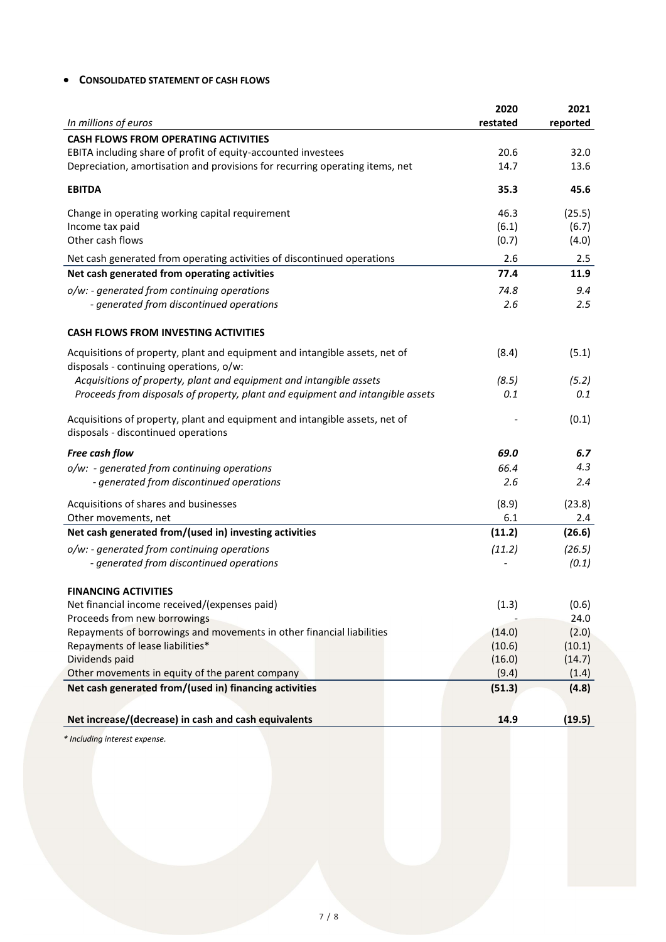# • **CONSOLIDATED STATEMENT OF CASH FLOWS**

| In millions of euros                                                                                                   | 2020<br>restated | 2021<br>reported |
|------------------------------------------------------------------------------------------------------------------------|------------------|------------------|
| <b>CASH FLOWS FROM OPERATING ACTIVITIES</b>                                                                            |                  |                  |
| EBITA including share of profit of equity-accounted investees                                                          | 20.6             | 32.0             |
| Depreciation, amortisation and provisions for recurring operating items, net                                           | 14.7             | 13.6             |
| <b>EBITDA</b>                                                                                                          | 35.3             | 45.6             |
| Change in operating working capital requirement                                                                        | 46.3             | (25.5)           |
| Income tax paid                                                                                                        | (6.1)            | (6.7)            |
| Other cash flows                                                                                                       | (0.7)            | (4.0)            |
| Net cash generated from operating activities of discontinued operations                                                | 2.6              | 2.5              |
| Net cash generated from operating activities                                                                           | 77.4             | 11.9             |
| o/w: - generated from continuing operations                                                                            | 74.8             | 9.4              |
| - generated from discontinued operations                                                                               | 2.6              | 2.5              |
| <b>CASH FLOWS FROM INVESTING ACTIVITIES</b>                                                                            |                  |                  |
| Acquisitions of property, plant and equipment and intangible assets, net of<br>disposals - continuing operations, o/w: | (8.4)            | (5.1)            |
| Acquisitions of property, plant and equipment and intangible assets                                                    | (8.5)            | (5.2)            |
| Proceeds from disposals of property, plant and equipment and intangible assets                                         | 0.1              | 0.1              |
| Acquisitions of property, plant and equipment and intangible assets, net of<br>disposals - discontinued operations     |                  | (0.1)            |
| Free cash flow                                                                                                         | 69.0             | 6.7              |
| o/w: - generated from continuing operations                                                                            | 66.4             | 4.3              |
| - generated from discontinued operations                                                                               | 2.6              | 2.4              |
| Acquisitions of shares and businesses                                                                                  | (8.9)            | (23.8)           |
| Other movements, net                                                                                                   | 6.1              | 2.4              |
| Net cash generated from/(used in) investing activities                                                                 | (11.2)           | (26.6)           |
| o/w: - generated from continuing operations                                                                            | (11.2)           | (26.5)           |
| - generated from discontinued operations                                                                               |                  | (0.1)            |
| <b>FINANCING ACTIVITIES</b>                                                                                            |                  |                  |
| Net financial income received/(expenses paid)                                                                          | (1.3)            | (0.6)            |
| Proceeds from new borrowings                                                                                           |                  | 24.0             |
| Repayments of borrowings and movements in other financial liabilities                                                  | (14.0)           | (2.0)            |
| Repayments of lease liabilities*                                                                                       | (10.6)           | (10.1)           |
| Dividends paid                                                                                                         | (16.0)           | (14.7)           |
| Other movements in equity of the parent company                                                                        | (9.4)            | (1.4)            |
| Net cash generated from/(used in) financing activities                                                                 | (51.3)           | (4.8)            |
| Net increase/(decrease) in cash and cash equivalents                                                                   | 14.9             | (19.5)           |

*\* Including interest expense.*